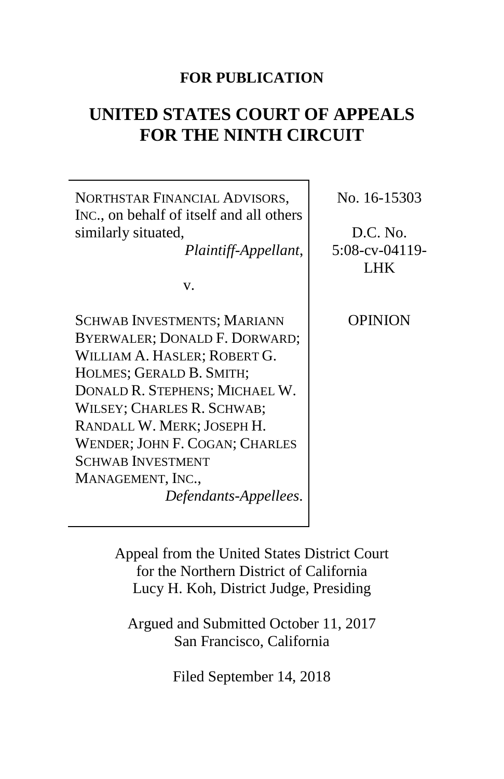# **FOR PUBLICATION**

# **UNITED STATES COURT OF APPEALS FOR THE NINTH CIRCUIT**

NORTHSTAR FINANCIAL ADVISORS, INC., on behalf of itself and all others similarly situated, *Plaintiff-Appellant*, v. SCHWAB INVESTMENTS; MARIANN BYERWALER; DONALD F. DORWARD; WILLIAM A. HASLER; ROBERT G. HOLMES; GERALD B. SMITH; DONALD R. STEPHENS; MICHAEL W. WILSEY; CHARLES R. SCHWAB; RANDALL W. MERK; JOSEPH H. WENDER; JOHN F. COGAN; CHARLES SCHWAB INVESTMENT MANAGEMENT, INC., *Defendants-Appellees*. No. 16-15303 D.C. No. 5:08-cv-04119- LHK OPINION

> Appeal from the United States District Court for the Northern District of California Lucy H. Koh, District Judge, Presiding

Argued and Submitted October 11, 2017 San Francisco, California

Filed September 14, 2018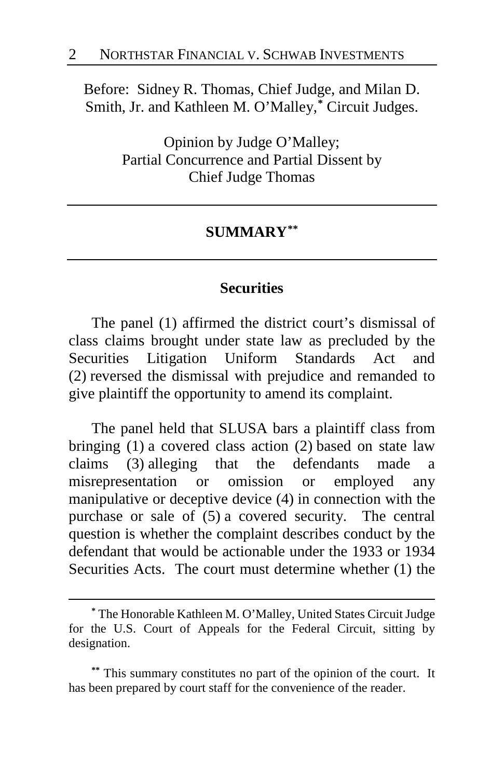Before: Sidney R. Thomas, Chief Judge, and Milan D. Smith, Jr. and Kathleen M. O'Malley, **[\\*](#page-1-0)** Circuit Judges.

> Opinion by Judge O'Malley; Partial Concurrence and Partial Dissent by Chief Judge Thomas

### **SUMMARY[\\*\\*](#page-1-1)**

### **Securities**

The panel (1) affirmed the district court's dismissal of class claims brought under state law as precluded by the Securities Litigation Uniform Standards Act and (2) reversed the dismissal with prejudice and remanded to give plaintiff the opportunity to amend its complaint.

The panel held that SLUSA bars a plaintiff class from bringing (1) a covered class action (2) based on state law claims (3) alleging that the defendants made a misrepresentation or omission or employed any manipulative or deceptive device (4) in connection with the purchase or sale of (5) a covered security. The central question is whether the complaint describes conduct by the defendant that would be actionable under the 1933 or 1934 Securities Acts. The court must determine whether (1) the

<span id="page-1-0"></span>**<sup>\*</sup>** The Honorable Kathleen M. O'Malley, United States Circuit Judge for the U.S. Court of Appeals for the Federal Circuit, sitting by designation.

<span id="page-1-1"></span>**<sup>\*\*</sup>** This summary constitutes no part of the opinion of the court. It has been prepared by court staff for the convenience of the reader.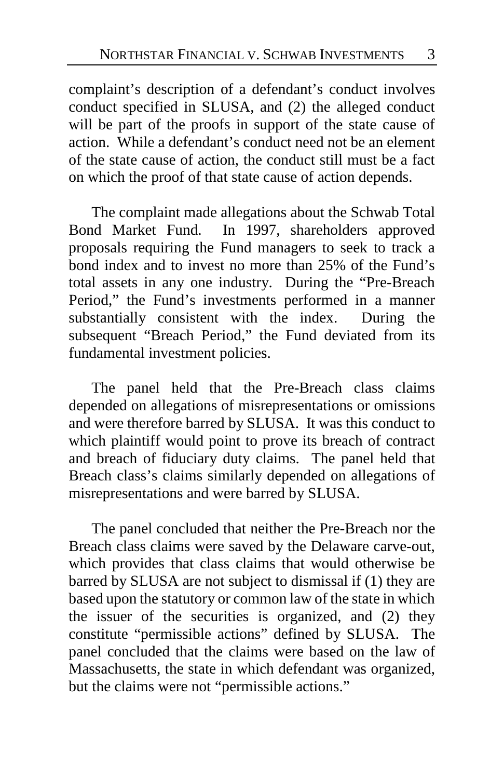complaint's description of a defendant's conduct involves conduct specified in SLUSA, and (2) the alleged conduct will be part of the proofs in support of the state cause of action. While a defendant's conduct need not be an element of the state cause of action, the conduct still must be a fact on which the proof of that state cause of action depends.

The complaint made allegations about the Schwab Total Bond Market Fund. In 1997, shareholders approved proposals requiring the Fund managers to seek to track a bond index and to invest no more than 25% of the Fund's total assets in any one industry. During the "Pre-Breach Period," the Fund's investments performed in a manner substantially consistent with the index. During the subsequent "Breach Period," the Fund deviated from its fundamental investment policies.

The panel held that the Pre-Breach class claims depended on allegations of misrepresentations or omissions and were therefore barred by SLUSA. It was this conduct to which plaintiff would point to prove its breach of contract and breach of fiduciary duty claims. The panel held that Breach class's claims similarly depended on allegations of misrepresentations and were barred by SLUSA.

The panel concluded that neither the Pre-Breach nor the Breach class claims were saved by the Delaware carve-out, which provides that class claims that would otherwise be barred by SLUSA are not subject to dismissal if (1) they are based upon the statutory or common law of the state in which the issuer of the securities is organized, and (2) they constitute "permissible actions" defined by SLUSA. The panel concluded that the claims were based on the law of Massachusetts, the state in which defendant was organized, but the claims were not "permissible actions."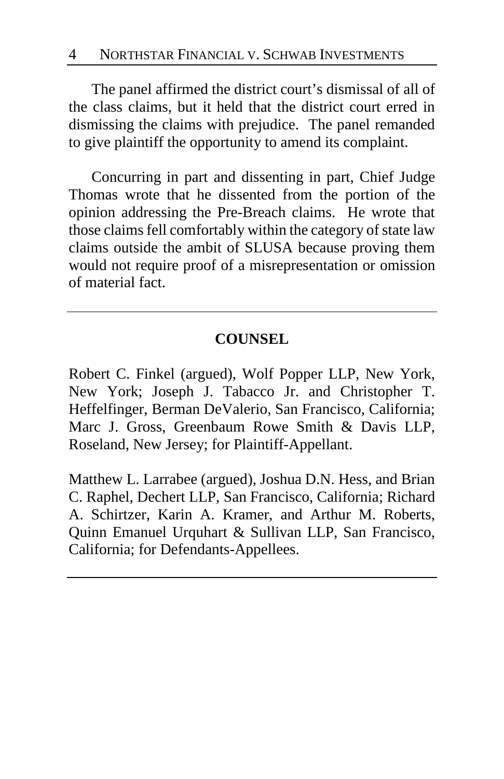The panel affirmed the district court's dismissal of all of the class claims, but it held that the district court erred in dismissing the claims with prejudice. The panel remanded to give plaintiff the opportunity to amend its complaint.

Concurring in part and dissenting in part, Chief Judge Thomas wrote that he dissented from the portion of the opinion addressing the Pre-Breach claims. He wrote that those claims fell comfortably within the category of state law claims outside the ambit of SLUSA because proving them would not require proof of a misrepresentation or omission of material fact.

# **COUNSEL**

Robert C. Finkel (argued), Wolf Popper LLP, New York, New York; Joseph J. Tabacco Jr. and Christopher T. Heffelfinger, Berman DeValerio, San Francisco, California; Marc J. Gross, Greenbaum Rowe Smith & Davis LLP, Roseland, New Jersey; for Plaintiff-Appellant.

Matthew L. Larrabee (argued), Joshua D.N. Hess, and Brian C. Raphel, Dechert LLP, San Francisco, California; Richard A. Schirtzer, Karin A. Kramer, and Arthur M. Roberts, Quinn Emanuel Urquhart & Sullivan LLP, San Francisco, California; for Defendants-Appellees.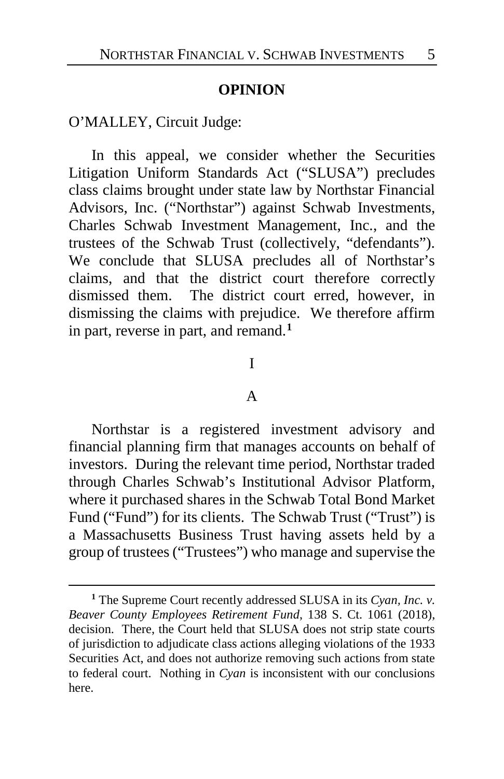### **OPINION**

O'MALLEY, Circuit Judge:

 $\overline{a}$ 

In this appeal, we consider whether the Securities Litigation Uniform Standards Act ("SLUSA") precludes class claims brought under state law by Northstar Financial Advisors, Inc. ("Northstar") against Schwab Investments, Charles Schwab Investment Management, Inc., and the trustees of the Schwab Trust (collectively, "defendants"). We conclude that SLUSA precludes all of Northstar's claims, and that the district court therefore correctly dismissed them. The district court erred, however, in dismissing the claims with prejudice. We therefore affirm in part, reverse in part, and remand.**[1](#page-4-0)**

### I

### A

Northstar is a registered investment advisory and financial planning firm that manages accounts on behalf of investors. During the relevant time period, Northstar traded through Charles Schwab's Institutional Advisor Platform, where it purchased shares in the Schwab Total Bond Market Fund ("Fund") for its clients. The Schwab Trust ("Trust") is a Massachusetts Business Trust having assets held by a group of trustees ("Trustees") who manage and supervise the

<span id="page-4-0"></span>**<sup>1</sup>** The Supreme Court recently addressed SLUSA in its *Cyan, Inc. v. Beaver County Employees Retirement Fund*, 138 S. Ct. 1061 (2018), decision. There, the Court held that SLUSA does not strip state courts of jurisdiction to adjudicate class actions alleging violations of the 1933 Securities Act, and does not authorize removing such actions from state to federal court. Nothing in *Cyan* is inconsistent with our conclusions here.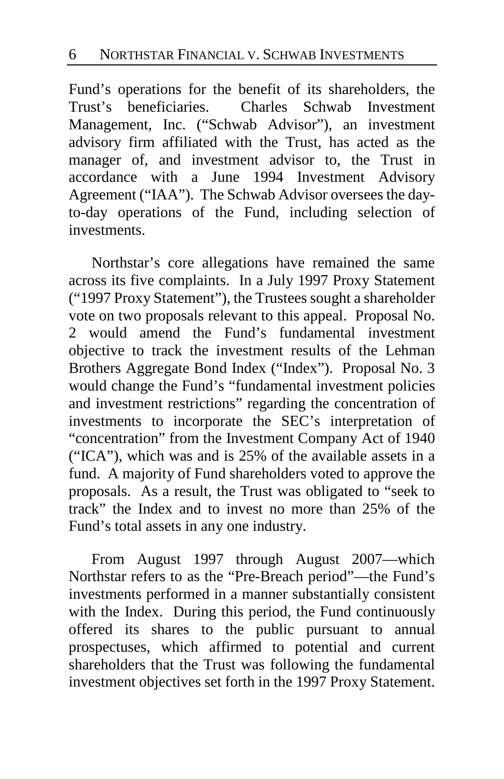Fund's operations for the benefit of its shareholders, the Trust's beneficiaries. Charles Schwab Investment Management, Inc. ("Schwab Advisor"), an investment advisory firm affiliated with the Trust, has acted as the manager of, and investment advisor to, the Trust in accordance with a June 1994 Investment Advisory Agreement ("IAA"). The Schwab Advisor oversees the dayto-day operations of the Fund, including selection of investments.

Northstar's core allegations have remained the same across its five complaints. In a July 1997 Proxy Statement ("1997 Proxy Statement"), the Trustees sought a shareholder vote on two proposals relevant to this appeal. Proposal No. 2 would amend the Fund's fundamental investment objective to track the investment results of the Lehman Brothers Aggregate Bond Index ("Index"). Proposal No. 3 would change the Fund's "fundamental investment policies and investment restrictions" regarding the concentration of investments to incorporate the SEC's interpretation of "concentration" from the Investment Company Act of 1940 ("ICA"), which was and is 25% of the available assets in a fund. A majority of Fund shareholders voted to approve the proposals. As a result, the Trust was obligated to "seek to track" the Index and to invest no more than 25% of the Fund's total assets in any one industry.

From August 1997 through August 2007—which Northstar refers to as the "Pre-Breach period"—the Fund's investments performed in a manner substantially consistent with the Index. During this period, the Fund continuously offered its shares to the public pursuant to annual prospectuses, which affirmed to potential and current shareholders that the Trust was following the fundamental investment objectives set forth in the 1997 Proxy Statement.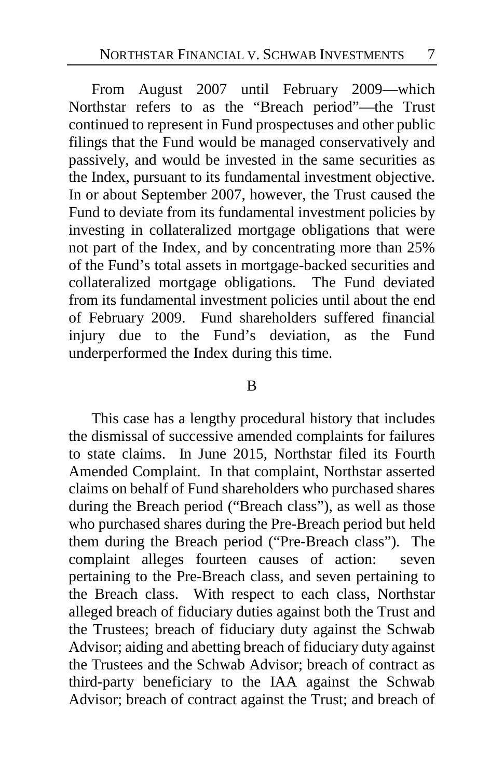From August 2007 until February 2009—which Northstar refers to as the "Breach period"—the Trust continued to represent in Fund prospectuses and other public filings that the Fund would be managed conservatively and passively, and would be invested in the same securities as the Index, pursuant to its fundamental investment objective. In or about September 2007, however, the Trust caused the Fund to deviate from its fundamental investment policies by investing in collateralized mortgage obligations that were not part of the Index, and by concentrating more than 25% of the Fund's total assets in mortgage-backed securities and collateralized mortgage obligations. The Fund deviated from its fundamental investment policies until about the end of February 2009. Fund shareholders suffered financial injury due to the Fund's deviation, as the Fund underperformed the Index during this time.

### B

This case has a lengthy procedural history that includes the dismissal of successive amended complaints for failures to state claims. In June 2015, Northstar filed its Fourth Amended Complaint. In that complaint, Northstar asserted claims on behalf of Fund shareholders who purchased shares during the Breach period ("Breach class"), as well as those who purchased shares during the Pre-Breach period but held them during the Breach period ("Pre-Breach class"). The complaint alleges fourteen causes of action: seven pertaining to the Pre-Breach class, and seven pertaining to the Breach class. With respect to each class, Northstar alleged breach of fiduciary duties against both the Trust and the Trustees; breach of fiduciary duty against the Schwab Advisor; aiding and abetting breach of fiduciary duty against the Trustees and the Schwab Advisor; breach of contract as third-party beneficiary to the IAA against the Schwab Advisor; breach of contract against the Trust; and breach of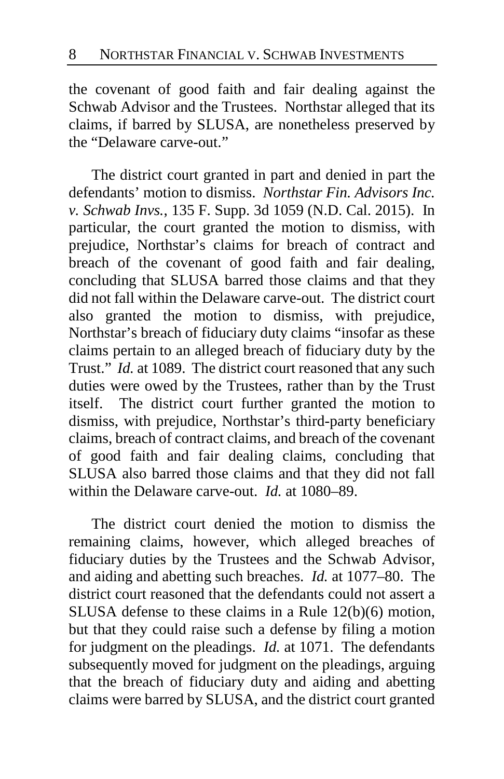the covenant of good faith and fair dealing against the Schwab Advisor and the Trustees. Northstar alleged that its claims, if barred by SLUSA, are nonetheless preserved by the "Delaware carve-out."

The district court granted in part and denied in part the defendants' motion to dismiss. *Northstar Fin. Advisors Inc. v. Schwab Invs.*, 135 F. Supp. 3d 1059 (N.D. Cal. 2015). In particular, the court granted the motion to dismiss, with prejudice, Northstar's claims for breach of contract and breach of the covenant of good faith and fair dealing, concluding that SLUSA barred those claims and that they did not fall within the Delaware carve-out. The district court also granted the motion to dismiss, with prejudice, Northstar's breach of fiduciary duty claims "insofar as these claims pertain to an alleged breach of fiduciary duty by the Trust." *Id.* at 1089. The district court reasoned that any such duties were owed by the Trustees, rather than by the Trust itself. The district court further granted the motion to dismiss, with prejudice, Northstar's third-party beneficiary claims, breach of contract claims, and breach of the covenant of good faith and fair dealing claims, concluding that SLUSA also barred those claims and that they did not fall within the Delaware carve-out. *Id.* at 1080–89.

The district court denied the motion to dismiss the remaining claims, however, which alleged breaches of fiduciary duties by the Trustees and the Schwab Advisor, and aiding and abetting such breaches. *Id.* at 1077–80. The district court reasoned that the defendants could not assert a SLUSA defense to these claims in a Rule 12(b)(6) motion, but that they could raise such a defense by filing a motion for judgment on the pleadings. *Id.* at 1071. The defendants subsequently moved for judgment on the pleadings, arguing that the breach of fiduciary duty and aiding and abetting claims were barred by SLUSA, and the district court granted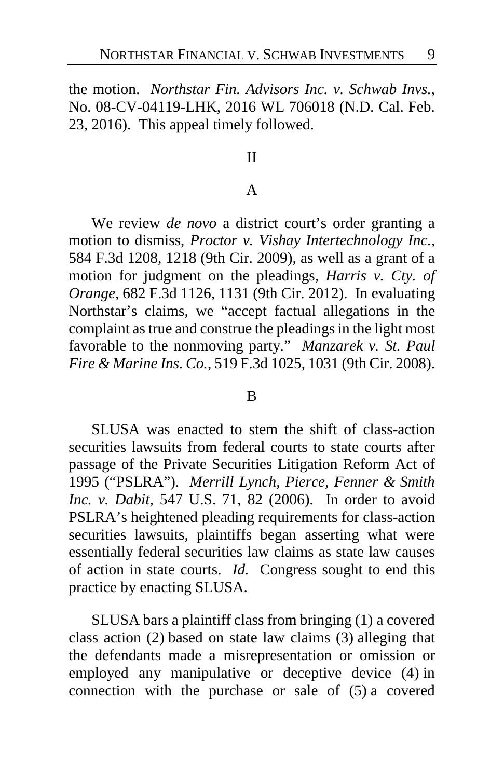the motion. *Northstar Fin. Advisors Inc. v. Schwab Invs.*, No. 08-CV-04119-LHK, 2016 WL 706018 (N.D. Cal. Feb. 23, 2016). This appeal timely followed.

#### II

### A

We review *de novo* a district court's order granting a motion to dismiss, *Proctor v. Vishay Intertechnology Inc.*, 584 F.3d 1208, 1218 (9th Cir. 2009), as well as a grant of a motion for judgment on the pleadings, *Harris v. Cty. of Orange*, 682 F.3d 1126, 1131 (9th Cir. 2012). In evaluating Northstar's claims, we "accept factual allegations in the complaint as true and construe the pleadings in the light most favorable to the nonmoving party." *Manzarek v. St. Paul Fire & Marine Ins. Co.*, 519 F.3d 1025, 1031 (9th Cir. 2008).

#### B

SLUSA was enacted to stem the shift of class-action securities lawsuits from federal courts to state courts after passage of the Private Securities Litigation Reform Act of 1995 ("PSLRA"). *Merrill Lynch, Pierce, Fenner & Smith Inc. v. Dabit*, 547 U.S. 71, 82 (2006). In order to avoid PSLRA's heightened pleading requirements for class-action securities lawsuits, plaintiffs began asserting what were essentially federal securities law claims as state law causes of action in state courts. *Id.* Congress sought to end this practice by enacting SLUSA.

SLUSA bars a plaintiff class from bringing (1) a covered class action (2) based on state law claims (3) alleging that the defendants made a misrepresentation or omission or employed any manipulative or deceptive device (4) in connection with the purchase or sale of (5) a covered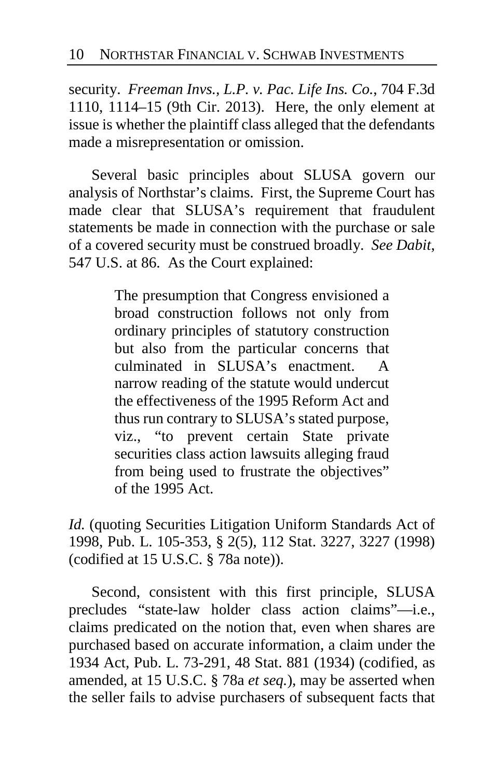security. *Freeman Invs., L.P. v. Pac. Life Ins. Co.*, 704 F.3d 1110, 1114–15 (9th Cir. 2013). Here, the only element at issue is whether the plaintiff class alleged that the defendants made a misrepresentation or omission.

Several basic principles about SLUSA govern our analysis of Northstar's claims. First, the Supreme Court has made clear that SLUSA's requirement that fraudulent statements be made in connection with the purchase or sale of a covered security must be construed broadly. *See Dabit*, 547 U.S. at 86. As the Court explained:

> The presumption that Congress envisioned a broad construction follows not only from ordinary principles of statutory construction but also from the particular concerns that culminated in SLUSA's enactment. A narrow reading of the statute would undercut the effectiveness of the 1995 Reform Act and thus run contrary to SLUSA's stated purpose, viz., "to prevent certain State private securities class action lawsuits alleging fraud from being used to frustrate the objectives" of the 1995 Act.

*Id.* (quoting Securities Litigation Uniform Standards Act of 1998, Pub. L. 105-353, § 2(5), 112 Stat. 3227, 3227 (1998) (codified at 15 U.S.C. § 78a note)).

Second, consistent with this first principle, SLUSA precludes "state-law holder class action claims"—i.e., claims predicated on the notion that, even when shares are purchased based on accurate information, a claim under the 1934 Act, Pub. L. 73-291, 48 Stat. 881 (1934) (codified, as amended, at 15 U.S.C. § 78a *et seq.*), may be asserted when the seller fails to advise purchasers of subsequent facts that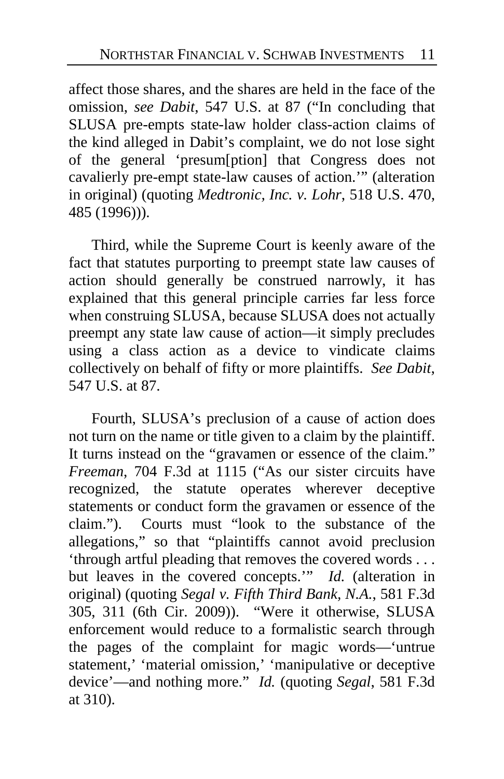affect those shares, and the shares are held in the face of the omission, *see Dabit*, 547 U.S. at 87 ("In concluding that SLUSA pre-empts state-law holder class-action claims of the kind alleged in Dabit's complaint, we do not lose sight of the general 'presum[ption] that Congress does not cavalierly pre-empt state-law causes of action.'" (alteration in original) (quoting *Medtronic, Inc. v. Lohr*, 518 U.S. 470, 485 (1996))).

Third, while the Supreme Court is keenly aware of the fact that statutes purporting to preempt state law causes of action should generally be construed narrowly, it has explained that this general principle carries far less force when construing SLUSA, because SLUSA does not actually preempt any state law cause of action—it simply precludes using a class action as a device to vindicate claims collectively on behalf of fifty or more plaintiffs. *See Dabit*, 547 U.S. at 87.

Fourth, SLUSA's preclusion of a cause of action does not turn on the name or title given to a claim by the plaintiff. It turns instead on the "gravamen or essence of the claim." *Freeman*, 704 F.3d at 1115 ("As our sister circuits have recognized, the statute operates wherever deceptive statements or conduct form the gravamen or essence of the claim."). Courts must "look to the substance of the allegations," so that "plaintiffs cannot avoid preclusion 'through artful pleading that removes the covered words . . . but leaves in the covered concepts.'" *Id.* (alteration in original) (quoting *Segal v. Fifth Third Bank, N.A.*, 581 F.3d 305, 311 (6th Cir. 2009)). "Were it otherwise, SLUSA enforcement would reduce to a formalistic search through the pages of the complaint for magic words—'untrue statement,' 'material omission,' 'manipulative or deceptive device'—and nothing more." *Id.* (quoting *Segal*, 581 F.3d at 310).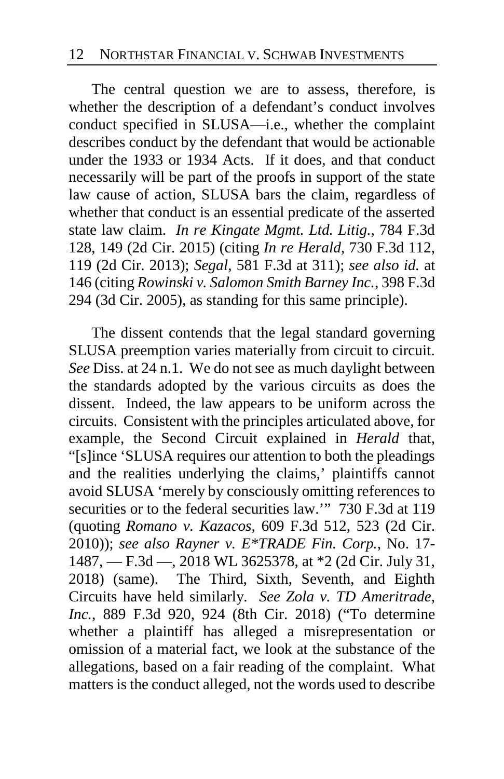The central question we are to assess, therefore, is whether the description of a defendant's conduct involves conduct specified in SLUSA—i.e., whether the complaint describes conduct by the defendant that would be actionable under the 1933 or 1934 Acts. If it does, and that conduct necessarily will be part of the proofs in support of the state law cause of action, SLUSA bars the claim, regardless of whether that conduct is an essential predicate of the asserted state law claim. *In re Kingate Mgmt. Ltd. Litig.*, 784 F.3d 128, 149 (2d Cir. 2015) (citing *In re Herald*, 730 F.3d 112, 119 (2d Cir. 2013); *Segal*, 581 F.3d at 311); *see also id.* at 146 (citing *Rowinski v. Salomon Smith Barney Inc.*, 398 F.3d 294 (3d Cir. 2005), as standing for this same principle).

The dissent contends that the legal standard governing SLUSA preemption varies materially from circuit to circuit. *See* Diss. at [24](#page-23-0) n.1. We do not see as much daylight between the standards adopted by the various circuits as does the dissent. Indeed, the law appears to be uniform across the circuits. Consistent with the principles articulated above, for example, the Second Circuit explained in *Herald* that, "[s]ince 'SLUSA requires our attention to both the pleadings and the realities underlying the claims,' plaintiffs cannot avoid SLUSA 'merely by consciously omitting references to securities or to the federal securities law." 730 F.3d at 119 (quoting *Romano v. Kazacos*, 609 F.3d 512, 523 (2d Cir. 2010)); *see also Rayner v. E\*TRADE Fin. Corp.*, No. 17- 1487, — F.3d —, 2018 WL 3625378, at \*2 (2d Cir. July 31, 2018) (same). The Third, Sixth, Seventh, and Eighth Circuits have held similarly. *See Zola v. TD Ameritrade, Inc.*, 889 F.3d 920, 924 (8th Cir. 2018) ("To determine whether a plaintiff has alleged a misrepresentation or omission of a material fact, we look at the substance of the allegations, based on a fair reading of the complaint. What matters is the conduct alleged, not the words used to describe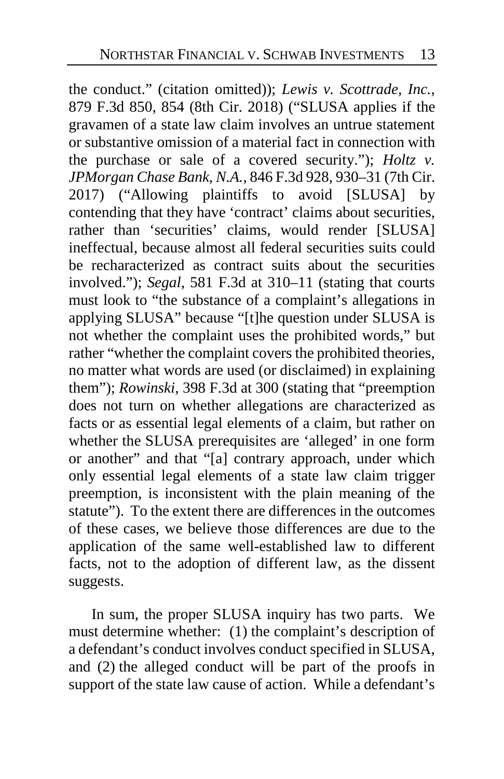the conduct." (citation omitted)); *Lewis v. Scottrade, Inc.*, 879 F.3d 850, 854 (8th Cir. 2018) ("SLUSA applies if the gravamen of a state law claim involves an untrue statement or substantive omission of a material fact in connection with the purchase or sale of a covered security."); *Holtz v. JPMorgan Chase Bank, N.A.*, 846 F.3d 928, 930–31 (7th Cir. 2017) ("Allowing plaintiffs to avoid [SLUSA] by contending that they have 'contract' claims about securities, rather than 'securities' claims, would render [SLUSA] ineffectual, because almost all federal securities suits could be recharacterized as contract suits about the securities involved."); *Segal*, 581 F.3d at 310–11 (stating that courts must look to "the substance of a complaint's allegations in applying SLUSA" because "[t]he question under SLUSA is not whether the complaint uses the prohibited words," but rather "whether the complaint covers the prohibited theories, no matter what words are used (or disclaimed) in explaining them"); *Rowinski*, 398 F.3d at 300 (stating that "preemption does not turn on whether allegations are characterized as facts or as essential legal elements of a claim, but rather on whether the SLUSA prerequisites are 'alleged' in one form or another" and that "[a] contrary approach, under which only essential legal elements of a state law claim trigger preemption, is inconsistent with the plain meaning of the statute"). To the extent there are differences in the outcomes of these cases, we believe those differences are due to the application of the same well-established law to different facts, not to the adoption of different law, as the dissent suggests.

In sum, the proper SLUSA inquiry has two parts. We must determine whether: (1) the complaint's description of a defendant's conduct involves conduct specified in SLUSA, and (2) the alleged conduct will be part of the proofs in support of the state law cause of action. While a defendant's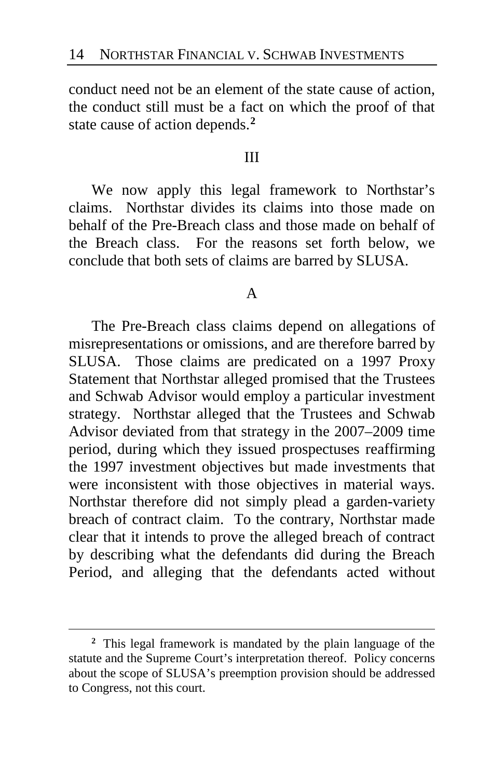conduct need not be an element of the state cause of action, the conduct still must be a fact on which the proof of that state cause of action depends. **[2](#page-13-0)**

### III

We now apply this legal framework to Northstar's claims. Northstar divides its claims into those made on behalf of the Pre-Breach class and those made on behalf of the Breach class. For the reasons set forth below, we conclude that both sets of claims are barred by SLUSA.

### A

The Pre-Breach class claims depend on allegations of misrepresentations or omissions, and are therefore barred by SLUSA. Those claims are predicated on a 1997 Proxy Statement that Northstar alleged promised that the Trustees and Schwab Advisor would employ a particular investment strategy. Northstar alleged that the Trustees and Schwab Advisor deviated from that strategy in the 2007–2009 time period, during which they issued prospectuses reaffirming the 1997 investment objectives but made investments that were inconsistent with those objectives in material ways. Northstar therefore did not simply plead a garden-variety breach of contract claim. To the contrary, Northstar made clear that it intends to prove the alleged breach of contract by describing what the defendants did during the Breach Period, and alleging that the defendants acted without

<span id="page-13-0"></span>**<sup>2</sup>** This legal framework is mandated by the plain language of the statute and the Supreme Court's interpretation thereof. Policy concerns about the scope of SLUSA's preemption provision should be addressed to Congress, not this court.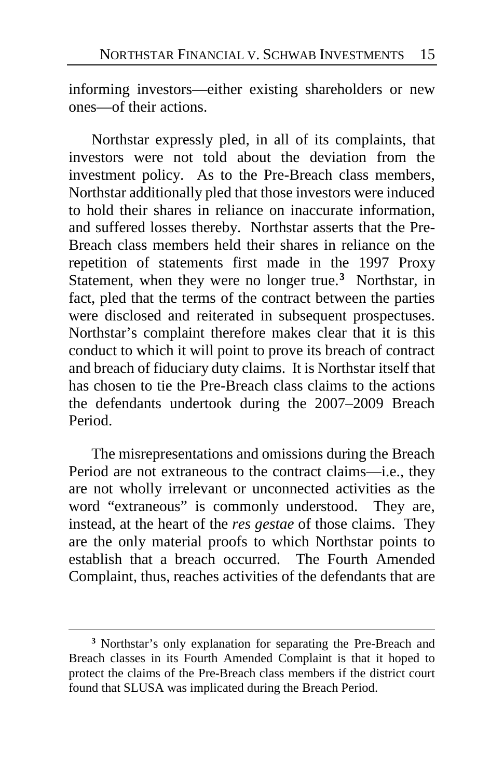informing investors—either existing shareholders or new ones—of their actions.

Northstar expressly pled, in all of its complaints, that investors were not told about the deviation from the investment policy. As to the Pre-Breach class members, Northstar additionally pled that those investors were induced to hold their shares in reliance on inaccurate information, and suffered losses thereby. Northstar asserts that the Pre-Breach class members held their shares in reliance on the repetition of statements first made in the 1997 Proxy Statement, when they were no longer true.**[3](#page-14-0)** Northstar, in fact, pled that the terms of the contract between the parties were disclosed and reiterated in subsequent prospectuses. Northstar's complaint therefore makes clear that it is this conduct to which it will point to prove its breach of contract and breach of fiduciary duty claims. It is Northstar itself that has chosen to tie the Pre-Breach class claims to the actions the defendants undertook during the 2007–2009 Breach Period.

The misrepresentations and omissions during the Breach Period are not extraneous to the contract claims—i.e., they are not wholly irrelevant or unconnected activities as the word "extraneous" is commonly understood. They are, instead, at the heart of the *res gestae* of those claims. They are the only material proofs to which Northstar points to establish that a breach occurred. The Fourth Amended Complaint, thus, reaches activities of the defendants that are

<span id="page-14-0"></span>**<sup>3</sup>** Northstar's only explanation for separating the Pre-Breach and Breach classes in its Fourth Amended Complaint is that it hoped to protect the claims of the Pre-Breach class members if the district court found that SLUSA was implicated during the Breach Period.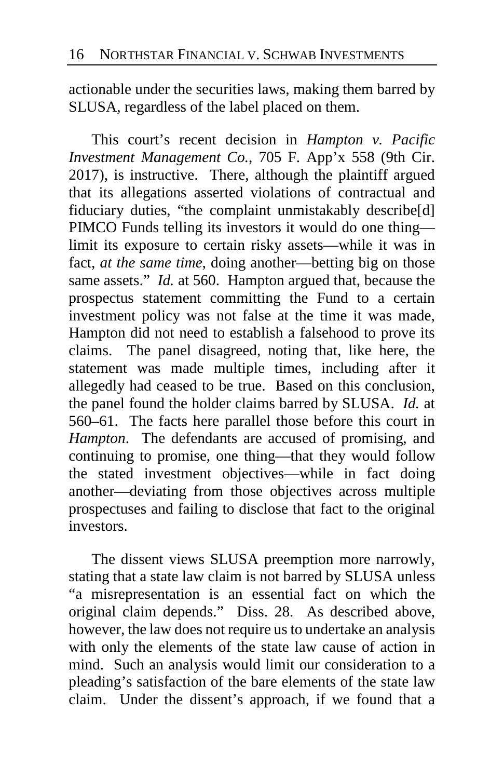actionable under the securities laws, making them barred by SLUSA, regardless of the label placed on them.

This court's recent decision in *Hampton v. Pacific Investment Management Co.*, 705 F. App'x 558 (9th Cir. 2017), is instructive. There, although the plaintiff argued that its allegations asserted violations of contractual and fiduciary duties, "the complaint unmistakably describe[d] PIMCO Funds telling its investors it would do one thing limit its exposure to certain risky assets—while it was in fact, *at the same time*, doing another—betting big on those same assets." *Id.* at 560. Hampton argued that, because the prospectus statement committing the Fund to a certain investment policy was not false at the time it was made, Hampton did not need to establish a falsehood to prove its claims. The panel disagreed, noting that, like here, the statement was made multiple times, including after it allegedly had ceased to be true. Based on this conclusion, the panel found the holder claims barred by SLUSA. *Id.* at 560–61. The facts here parallel those before this court in *Hampton*. The defendants are accused of promising, and continuing to promise, one thing—that they would follow the stated investment objectives—while in fact doing another—deviating from those objectives across multiple prospectuses and failing to disclose that fact to the original investors.

The dissent views SLUSA preemption more narrowly, stating that a state law claim is not barred by SLUSA unless "a misrepresentation is an essential fact on which the original claim depends." Diss. [28.](#page-27-0) As described above, however, the law does not require us to undertake an analysis with only the elements of the state law cause of action in mind. Such an analysis would limit our consideration to a pleading's satisfaction of the bare elements of the state law claim. Under the dissent's approach, if we found that a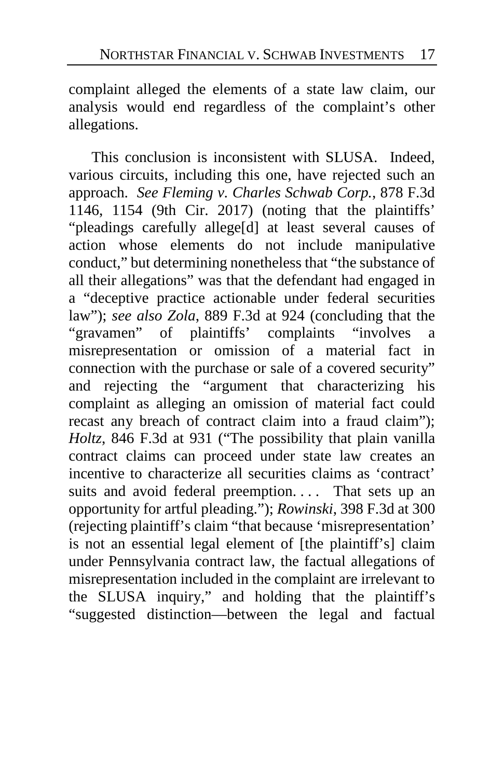complaint alleged the elements of a state law claim, our analysis would end regardless of the complaint's other allegations.

This conclusion is inconsistent with SLUSA. Indeed, various circuits, including this one, have rejected such an approach. *See Fleming v. Charles Schwab Corp.*, 878 F.3d 1146, 1154 (9th Cir. 2017) (noting that the plaintiffs' "pleadings carefully allege[d] at least several causes of action whose elements do not include manipulative conduct," but determining nonetheless that "the substance of all their allegations" was that the defendant had engaged in a "deceptive practice actionable under federal securities law"); *see also Zola*, 889 F.3d at 924 (concluding that the "gravamen" of plaintiffs' complaints "involves a misrepresentation or omission of a material fact in connection with the purchase or sale of a covered security" and rejecting the "argument that characterizing his complaint as alleging an omission of material fact could recast any breach of contract claim into a fraud claim"); *Holtz*, 846 F.3d at 931 ("The possibility that plain vanilla contract claims can proceed under state law creates an incentive to characterize all securities claims as 'contract' suits and avoid federal preemption.... That sets up an opportunity for artful pleading."); *Rowinski*, 398 F.3d at 300 (rejecting plaintiff's claim "that because 'misrepresentation' is not an essential legal element of [the plaintiff's] claim under Pennsylvania contract law, the factual allegations of misrepresentation included in the complaint are irrelevant to the SLUSA inquiry," and holding that the plaintiff's "suggested distinction—between the legal and factual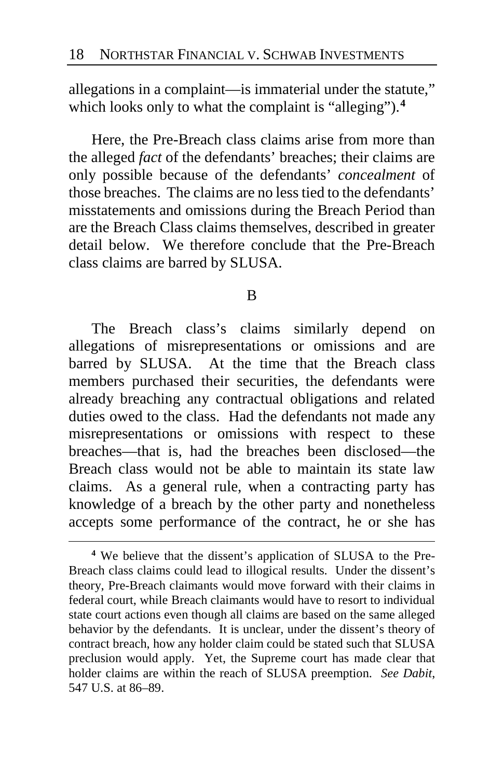allegations in a complaint—is immaterial under the statute," which looks only to what the complaint is "alleging").**[4](#page-17-0)**

Here, the Pre-Breach class claims arise from more than the alleged *fact* of the defendants' breaches; their claims are only possible because of the defendants' *concealment* of those breaches. The claims are no less tied to the defendants' misstatements and omissions during the Breach Period than are the Breach Class claims themselves, described in greater detail below. We therefore conclude that the Pre-Breach class claims are barred by SLUSA.

#### B

The Breach class's claims similarly depend on allegations of misrepresentations or omissions and are barred by SLUSA. At the time that the Breach class members purchased their securities, the defendants were already breaching any contractual obligations and related duties owed to the class. Had the defendants not made any misrepresentations or omissions with respect to these breaches—that is, had the breaches been disclosed—the Breach class would not be able to maintain its state law claims. As a general rule, when a contracting party has knowledge of a breach by the other party and nonetheless accepts some performance of the contract, he or she has

<span id="page-17-0"></span>**<sup>4</sup>** We believe that the dissent's application of SLUSA to the Pre-Breach class claims could lead to illogical results. Under the dissent's theory, Pre-Breach claimants would move forward with their claims in federal court, while Breach claimants would have to resort to individual state court actions even though all claims are based on the same alleged behavior by the defendants. It is unclear, under the dissent's theory of contract breach, how any holder claim could be stated such that SLUSA preclusion would apply. Yet, the Supreme court has made clear that holder claims are within the reach of SLUSA preemption. *See Dabit*, 547 U.S. at 86–89.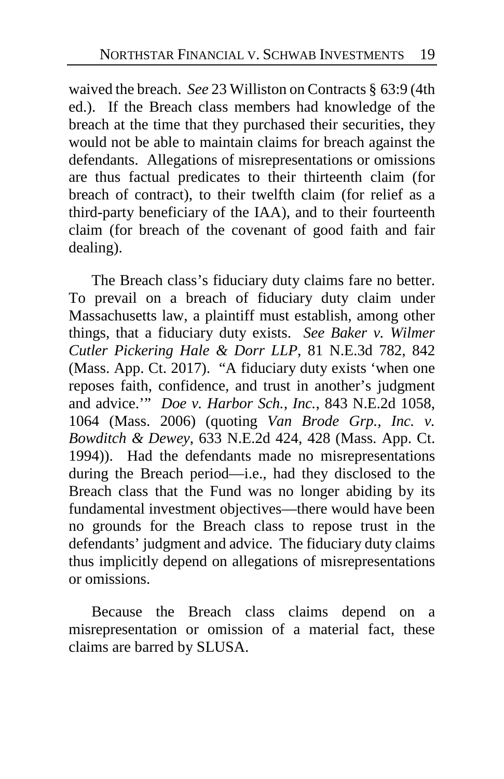waived the breach. *See* 23 Williston on Contracts § 63:9 (4th ed.). If the Breach class members had knowledge of the breach at the time that they purchased their securities, they would not be able to maintain claims for breach against the defendants. Allegations of misrepresentations or omissions are thus factual predicates to their thirteenth claim (for breach of contract), to their twelfth claim (for relief as a third-party beneficiary of the IAA), and to their fourteenth claim (for breach of the covenant of good faith and fair dealing).

The Breach class's fiduciary duty claims fare no better. To prevail on a breach of fiduciary duty claim under Massachusetts law, a plaintiff must establish, among other things, that a fiduciary duty exists. *See Baker v. Wilmer Cutler Pickering Hale & Dorr LLP*, 81 N.E.3d 782, 842 (Mass. App. Ct. 2017). "A fiduciary duty exists 'when one reposes faith, confidence, and trust in another's judgment and advice.'" *Doe v. Harbor Sch., Inc.*, 843 N.E.2d 1058, 1064 (Mass. 2006) (quoting *Van Brode Grp., Inc. v. Bowditch & Dewey*, 633 N.E.2d 424, 428 (Mass. App. Ct. 1994)). Had the defendants made no misrepresentations during the Breach period—i.e., had they disclosed to the Breach class that the Fund was no longer abiding by its fundamental investment objectives—there would have been no grounds for the Breach class to repose trust in the defendants' judgment and advice. The fiduciary duty claims thus implicitly depend on allegations of misrepresentations or omissions.

Because the Breach class claims depend on a misrepresentation or omission of a material fact, these claims are barred by SLUSA.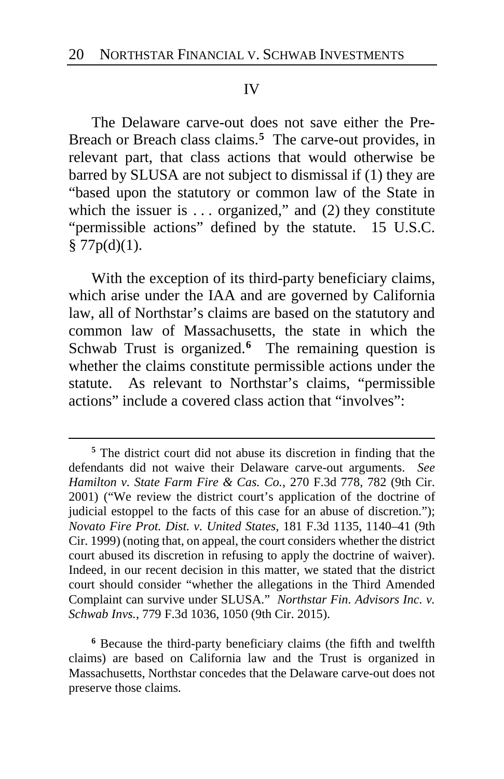### IV

The Delaware carve-out does not save either the Pre-Breach or Breach class claims.**[5](#page-19-0)** The carve-out provides, in relevant part, that class actions that would otherwise be barred by SLUSA are not subject to dismissal if (1) they are "based upon the statutory or common law of the State in which the issuer is  $\dots$  organized," and (2) they constitute "permissible actions" defined by the statute. 15 U.S.C.  $§ 77p(d)(1).$ 

With the exception of its third-party beneficiary claims, which arise under the IAA and are governed by California law, all of Northstar's claims are based on the statutory and common law of Massachusetts, the state in which the Schwab Trust is organized.**[6](#page-19-1)** The remaining question is whether the claims constitute permissible actions under the statute. As relevant to Northstar's claims, "permissible actions" include a covered class action that "involves":

 $\overline{a}$ 

<span id="page-19-1"></span>**<sup>6</sup>** Because the third-party beneficiary claims (the fifth and twelfth claims) are based on California law and the Trust is organized in Massachusetts, Northstar concedes that the Delaware carve-out does not preserve those claims.

<span id="page-19-0"></span>**<sup>5</sup>** The district court did not abuse its discretion in finding that the defendants did not waive their Delaware carve-out arguments. *See Hamilton v. State Farm Fire & Cas. Co.*, 270 F.3d 778, 782 (9th Cir. 2001) ("We review the district court's application of the doctrine of judicial estoppel to the facts of this case for an abuse of discretion."); *Novato Fire Prot. Dist. v. United States*, 181 F.3d 1135, 1140–41 (9th Cir. 1999) (noting that, on appeal, the court considers whether the district court abused its discretion in refusing to apply the doctrine of waiver). Indeed, in our recent decision in this matter, we stated that the district court should consider "whether the allegations in the Third Amended Complaint can survive under SLUSA." *Northstar Fin. Advisors Inc. v. Schwab Invs.*, 779 F.3d 1036, 1050 (9th Cir. 2015).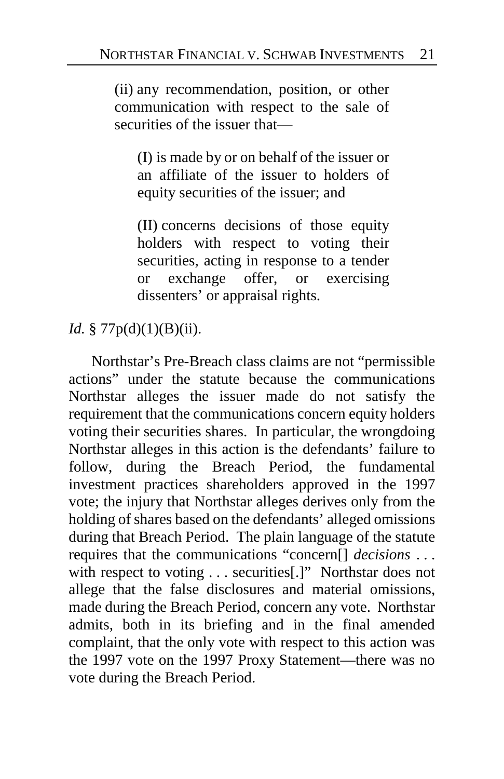(ii) any recommendation, position, or other communication with respect to the sale of securities of the issuer that—

(I) is made by or on behalf of the issuer or an affiliate of the issuer to holders of equity securities of the issuer; and

(II) concerns decisions of those equity holders with respect to voting their securities, acting in response to a tender or exchange offer, or exercising dissenters' or appraisal rights.

# *Id.* § 77p(d)(1)(B)(ii).

Northstar's Pre-Breach class claims are not "permissible actions" under the statute because the communications Northstar alleges the issuer made do not satisfy the requirement that the communications concern equity holders voting their securities shares. In particular, the wrongdoing Northstar alleges in this action is the defendants' failure to follow, during the Breach Period, the fundamental investment practices shareholders approved in the 1997 vote; the injury that Northstar alleges derives only from the holding of shares based on the defendants' alleged omissions during that Breach Period. The plain language of the statute requires that the communications "concern[] *decisions* . . . with respect to voting . . . securities[.]" Northstar does not allege that the false disclosures and material omissions, made during the Breach Period, concern any vote. Northstar admits, both in its briefing and in the final amended complaint, that the only vote with respect to this action was the 1997 vote on the 1997 Proxy Statement—there was no vote during the Breach Period.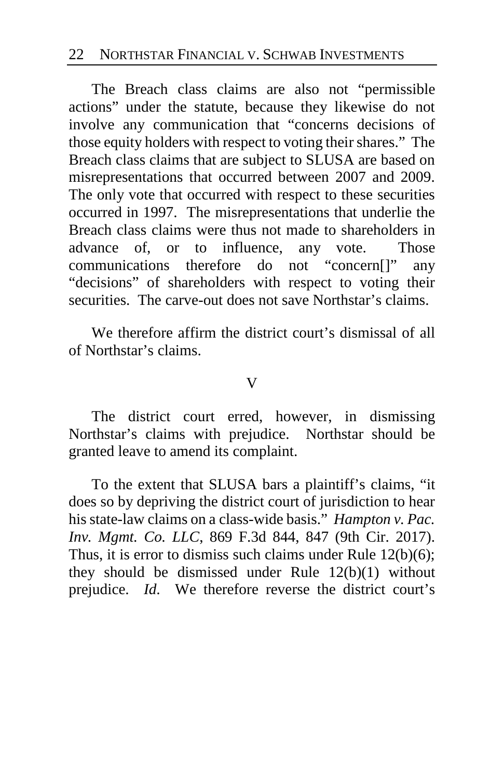### 22 NORTHSTAR FINANCIAL V. SCHWAB INVESTMENTS

The Breach class claims are also not "permissible actions" under the statute, because they likewise do not involve any communication that "concerns decisions of those equity holders with respect to voting their shares." The Breach class claims that are subject to SLUSA are based on misrepresentations that occurred between 2007 and 2009. The only vote that occurred with respect to these securities occurred in 1997. The misrepresentations that underlie the Breach class claims were thus not made to shareholders in advance of, or to influence, any vote. Those communications therefore do not "concern[]" any "decisions" of shareholders with respect to voting their securities. The carve-out does not save Northstar's claims.

We therefore affirm the district court's dismissal of all of Northstar's claims.

### V

The district court erred, however, in dismissing Northstar's claims with prejudice. Northstar should be granted leave to amend its complaint.

To the extent that SLUSA bars a plaintiff's claims, "it does so by depriving the district court of jurisdiction to hear his state-law claims on a class-wide basis." *Hampton v. Pac. Inv. Mgmt. Co. LLC*, 869 F.3d 844, 847 (9th Cir. 2017). Thus, it is error to dismiss such claims under Rule 12(b)(6); they should be dismissed under Rule 12(b)(1) without prejudice. *Id*. We therefore reverse the district court's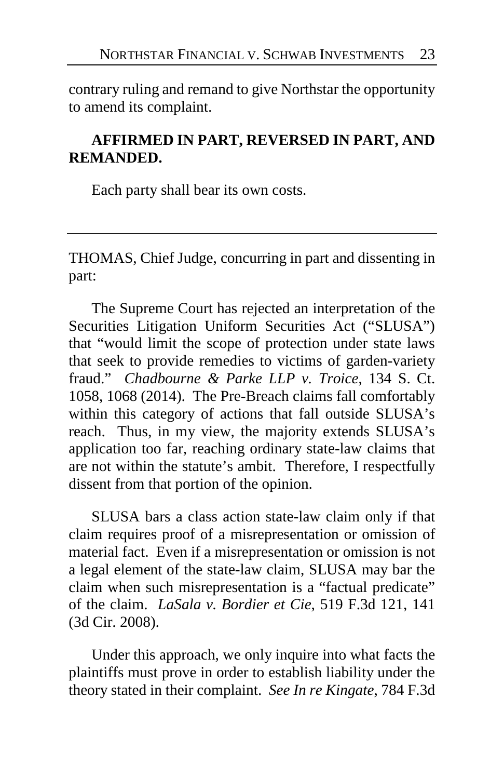contrary ruling and remand to give Northstar the opportunity to amend its complaint.

# **AFFIRMED IN PART, REVERSED IN PART, AND REMANDED.**

Each party shall bear its own costs.

THOMAS, Chief Judge, concurring in part and dissenting in part:

The Supreme Court has rejected an interpretation of the Securities Litigation Uniform Securities Act ("SLUSA") that "would limit the scope of protection under state laws that seek to provide remedies to victims of garden-variety fraud." *Chadbourne & Parke LLP v. Troice*, 134 S. Ct. 1058, 1068 (2014). The Pre-Breach claims fall comfortably within this category of actions that fall outside SLUSA's reach. Thus, in my view, the majority extends SLUSA's application too far, reaching ordinary state-law claims that are not within the statute's ambit. Therefore, I respectfully dissent from that portion of the opinion.

SLUSA bars a class action state-law claim only if that claim requires proof of a misrepresentation or omission of material fact. Even if a misrepresentation or omission is not a legal element of the state-law claim, SLUSA may bar the claim when such misrepresentation is a "factual predicate" of the claim. *LaSala v. Bordier et Cie*, 519 F.3d 121, 141 (3d Cir. 2008).

Under this approach, we only inquire into what facts the plaintiffs must prove in order to establish liability under the theory stated in their complaint. *See In re Kingate*, 784 F.3d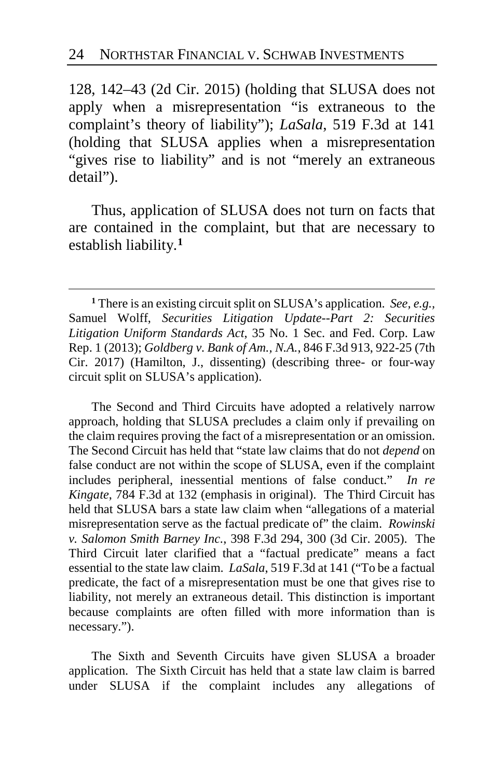128, 142–43 (2d Cir. 2015) (holding that SLUSA does not apply when a misrepresentation "is extraneous to the complaint's theory of liability"); *LaSala*, 519 F.3d at 141 (holding that SLUSA applies when a misrepresentation "gives rise to liability" and is not "merely an extraneous" detail").

Thus, application of SLUSA does not turn on facts that are contained in the complaint, but that are necessary to establish liability.**[1](#page-23-1)**

 $\overline{a}$ 

The Second and Third Circuits have adopted a relatively narrow approach, holding that SLUSA precludes a claim only if prevailing on the claim requires proving the fact of a misrepresentation or an omission. The Second Circuit has held that "state law claims that do not *depend* on false conduct are not within the scope of SLUSA, even if the complaint includes peripheral, inessential mentions of false conduct." *In re Kingate*, 784 F.3d at 132 (emphasis in original). The Third Circuit has held that SLUSA bars a state law claim when "allegations of a material misrepresentation serve as the factual predicate of" the claim. *Rowinski v. Salomon Smith Barney Inc.*, 398 F.3d 294, 300 (3d Cir. 2005). The Third Circuit later clarified that a "factual predicate" means a fact essential to the state law claim. *LaSala*, 519 F.3d at 141 ("To be a factual predicate, the fact of a misrepresentation must be one that gives rise to liability, not merely an extraneous detail. This distinction is important because complaints are often filled with more information than is necessary.").

The Sixth and Seventh Circuits have given SLUSA a broader application. The Sixth Circuit has held that a state law claim is barred under SLUSA if the complaint includes any allegations of

<span id="page-23-1"></span><span id="page-23-0"></span>**<sup>1</sup>** There is an existing circuit split on SLUSA's application. *See, e.g.,* Samuel Wolff, *Securities Litigation Update--Part 2: Securities Litigation Uniform Standards Act*, 35 No. 1 Sec. and Fed. Corp. Law Rep. 1 (2013); *Goldberg v. Bank of Am., N.A.*, 846 F.3d 913, 922-25 (7th Cir. 2017) (Hamilton, J., dissenting) (describing three- or four-way circuit split on SLUSA's application).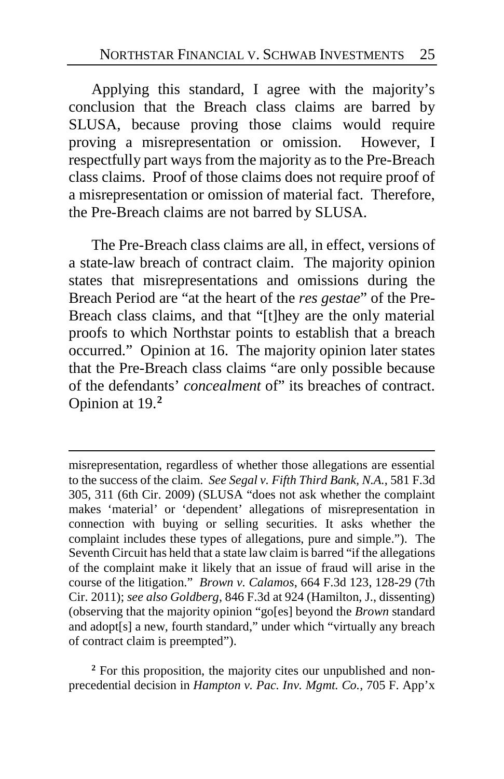Applying this standard, I agree with the majority's conclusion that the Breach class claims are barred by SLUSA, because proving those claims would require proving a misrepresentation or omission. However, I respectfully part ways from the majority as to the Pre-Breach class claims. Proof of those claims does not require proof of a misrepresentation or omission of material fact. Therefore, the Pre-Breach claims are not barred by SLUSA.

The Pre-Breach class claims are all, in effect, versions of a state-law breach of contract claim. The majority opinion states that misrepresentations and omissions during the Breach Period are "at the heart of the *res gestae*" of the Pre-Breach class claims, and that "[t]hey are the only material proofs to which Northstar points to establish that a breach occurred." Opinion at 16. The majority opinion later states that the Pre-Breach class claims "are only possible because of the defendants' *concealment* of" its breaches of contract. Opinion at 19.**[2](#page-24-0)**

<span id="page-24-0"></span>**<sup>2</sup>** For this proposition, the majority cites our unpublished and nonprecedential decision in *Hampton v. Pac. Inv. Mgmt. Co.*, 705 F. App'x

misrepresentation, regardless of whether those allegations are essential to the success of the claim. *See Segal v. Fifth Third Bank, N.A.*, 581 F.3d 305, 311 (6th Cir. 2009) (SLUSA "does not ask whether the complaint makes 'material' or 'dependent' allegations of misrepresentation in connection with buying or selling securities. It asks whether the complaint includes these types of allegations, pure and simple."). The Seventh Circuit has held that a state law claim is barred "if the allegations of the complaint make it likely that an issue of fraud will arise in the course of the litigation." *Brown v. Calamos*, 664 F.3d 123, 128-29 (7th Cir. 2011); *see also Goldberg*, 846 F.3d at 924 (Hamilton, J., dissenting) (observing that the majority opinion "go[es] beyond the *Brown* standard and adopt[s] a new, fourth standard," under which "virtually any breach of contract claim is preempted").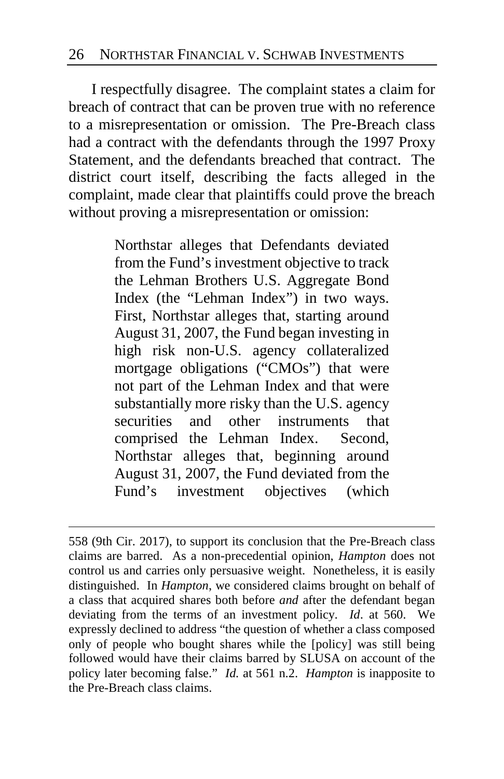I respectfully disagree. The complaint states a claim for breach of contract that can be proven true with no reference to a misrepresentation or omission. The Pre-Breach class had a contract with the defendants through the 1997 Proxy Statement, and the defendants breached that contract. The district court itself, describing the facts alleged in the complaint, made clear that plaintiffs could prove the breach without proving a misrepresentation or omission:

> Northstar alleges that Defendants deviated from the Fund's investment objective to track the Lehman Brothers U.S. Aggregate Bond Index (the "Lehman Index") in two ways. First, Northstar alleges that, starting around August 31, 2007, the Fund began investing in high risk non-U.S. agency collateralized mortgage obligations ("CMOs") that were not part of the Lehman Index and that were substantially more risky than the U.S. agency securities and other instruments that comprised the Lehman Index. Second, Northstar alleges that, beginning around August 31, 2007, the Fund deviated from the Fund's investment objectives (which

<sup>558 (9</sup>th Cir. 2017), to support its conclusion that the Pre-Breach class claims are barred. As a non-precedential opinion, *Hampton* does not control us and carries only persuasive weight. Nonetheless, it is easily distinguished. In *Hampton*, we considered claims brought on behalf of a class that acquired shares both before *and* after the defendant began deviating from the terms of an investment policy. *Id*. at 560. We expressly declined to address "the question of whether a class composed only of people who bought shares while the [policy] was still being followed would have their claims barred by SLUSA on account of the policy later becoming false." *Id.* at 561 n.2. *Hampton* is inapposite to the Pre-Breach class claims.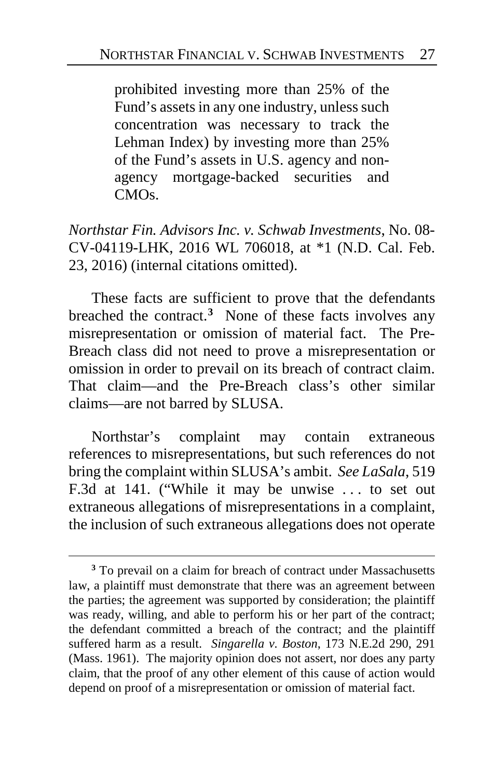prohibited investing more than 25% of the Fund's assets in any one industry, unless such concentration was necessary to track the Lehman Index) by investing more than 25% of the Fund's assets in U.S. agency and nonagency mortgage-backed securities and CMOs.

*Northstar Fin. Advisors Inc. v. Schwab Investments*, No. 08- CV-04119-LHK, 2016 WL 706018, at \*1 (N.D. Cal. Feb. 23, 2016) (internal citations omitted).

These facts are sufficient to prove that the defendants breached the contract.**[3](#page-26-0)** None of these facts involves any misrepresentation or omission of material fact. The Pre-Breach class did not need to prove a misrepresentation or omission in order to prevail on its breach of contract claim. That claim—and the Pre-Breach class's other similar claims—are not barred by SLUSA.

Northstar's complaint may contain extraneous references to misrepresentations, but such references do not bring the complaint within SLUSA's ambit. *See LaSala*, 519 F.3d at 141. ("While it may be unwise . . . to set out extraneous allegations of misrepresentations in a complaint, the inclusion of such extraneous allegations does not operate

<span id="page-26-0"></span>**<sup>3</sup>** To prevail on a claim for breach of contract under Massachusetts law, a plaintiff must demonstrate that there was an agreement between the parties; the agreement was supported by consideration; the plaintiff was ready, willing, and able to perform his or her part of the contract; the defendant committed a breach of the contract; and the plaintiff suffered harm as a result. *Singarella v. Boston*, 173 N.E.2d 290, 291 (Mass. 1961). The majority opinion does not assert, nor does any party claim, that the proof of any other element of this cause of action would depend on proof of a misrepresentation or omission of material fact.